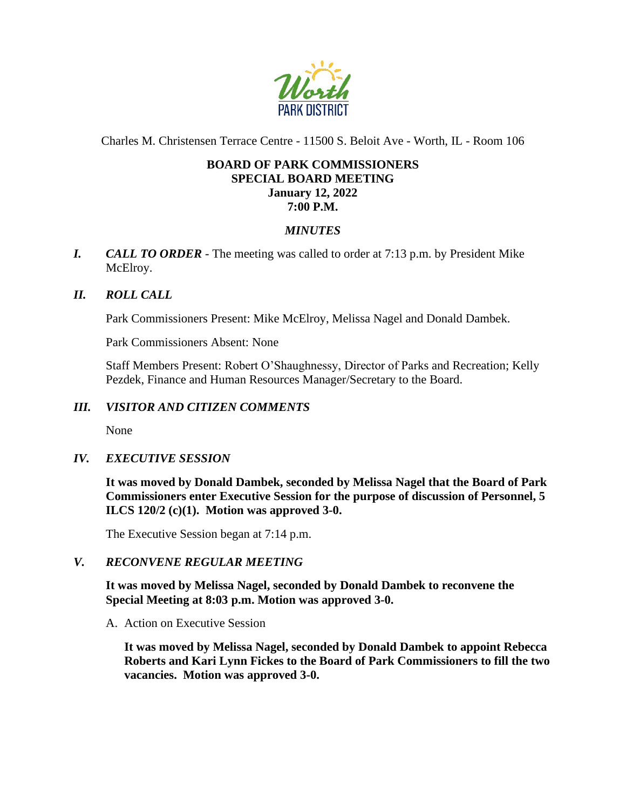

Charles M. Christensen Terrace Centre - 11500 S. Beloit Ave - Worth, IL - Room 106

#### **BOARD OF PARK COMMISSIONERS SPECIAL BOARD MEETING January 12, 2022 7:00 P.M.**

# *MINUTES*

*I. CALL TO ORDER* - The meeting was called to order at 7:13 p.m. by President Mike McElroy.

# *II. ROLL CALL*

Park Commissioners Present: Mike McElroy, Melissa Nagel and Donald Dambek.

Park Commissioners Absent: None

Staff Members Present: Robert O'Shaughnessy, Director of Parks and Recreation; Kelly Pezdek, Finance and Human Resources Manager/Secretary to the Board.

### *III. VISITOR AND CITIZEN COMMENTS*

None

# *IV. EXECUTIVE SESSION*

**It was moved by Donald Dambek, seconded by Melissa Nagel that the Board of Park Commissioners enter Executive Session for the purpose of discussion of Personnel, 5 ILCS 120/2 (c)(1). Motion was approved 3-0.**

The Executive Session began at 7:14 p.m.

#### *V. RECONVENE REGULAR MEETING*

**It was moved by Melissa Nagel, seconded by Donald Dambek to reconvene the Special Meeting at 8:03 p.m. Motion was approved 3-0.**

A. Action on Executive Session

**It was moved by Melissa Nagel, seconded by Donald Dambek to appoint Rebecca Roberts and Kari Lynn Fickes to the Board of Park Commissioners to fill the two vacancies. Motion was approved 3-0.**